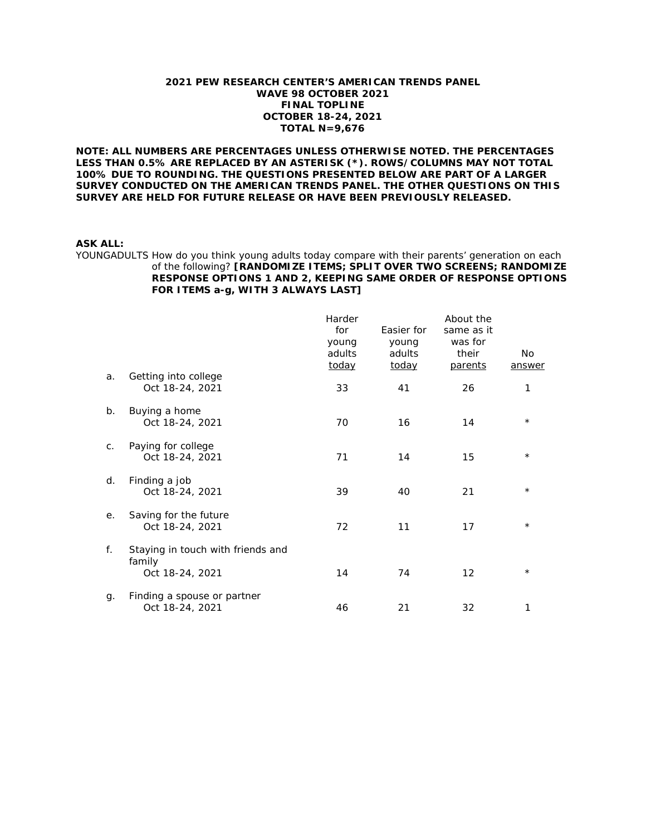#### **2021 PEW RESEARCH CENTER'S AMERICAN TRENDS PANEL WAVE 98 OCTOBER 2021 FINAL TOPLINE OCTOBER 18-24, 2021 TOTAL N=9,676**

**NOTE: ALL NUMBERS ARE PERCENTAGES UNLESS OTHERWISE NOTED. THE PERCENTAGES LESS THAN 0.5% ARE REPLACED BY AN ASTERISK (\*). ROWS/COLUMNS MAY NOT TOTAL 100% DUE TO ROUNDING. THE QUESTIONS PRESENTED BELOW ARE PART OF A LARGER SURVEY CONDUCTED ON THE AMERICAN TRENDS PANEL. THE OTHER QUESTIONS ON THIS SURVEY ARE HELD FOR FUTURE RELEASE OR HAVE BEEN PREVIOUSLY RELEASED.**

#### **ASK ALL:**

YOUNGADULTS How do you think young adults today compare with their parents' generation on each of the following? **[RANDOMIZE ITEMS; SPLIT OVER TWO SCREENS; RANDOMIZE RESPONSE OPTIONS 1 AND 2, KEEPING SAME ORDER OF RESPONSE OPTIONS FOR ITEMS a-g, WITH 3 ALWAYS LAST]** 

|    |                                   | Harder |            | About the      |          |
|----|-----------------------------------|--------|------------|----------------|----------|
|    |                                   | for    | Easier for | same as it     |          |
|    |                                   | young  | young      | was for        |          |
|    |                                   | adults | adults     | their          | No       |
|    |                                   | today  | today      | <u>parents</u> | answer   |
| a. | Getting into college              |        |            |                |          |
|    | Oct 18-24, 2021                   | 33     | 41         | 26             | 1        |
| b. | Buying a home                     |        |            |                |          |
|    | Oct 18-24, 2021                   | 70     | 16         | 14             | $^\star$ |
| C. | Paying for college                |        |            |                |          |
|    | Oct 18-24, 2021                   | 71     | 14         | 15             | $^\star$ |
| d. | Finding a job                     |        |            |                |          |
|    | Oct 18-24, 2021                   | 39     | 40         | 21             | $\star$  |
| е. | Saving for the future             |        |            |                |          |
|    | Oct 18-24, 2021                   | 72     | 11         | 17             | $^\star$ |
| f. | Staying in touch with friends and |        |            |                |          |
|    | family                            |        |            |                |          |
|    | Oct 18-24, 2021                   | 14     | 74         | 12             | $\star$  |
| g. | Finding a spouse or partner       |        |            |                |          |
|    | Oct 18-24, 2021                   | 46     | 21         | 32             | 1        |